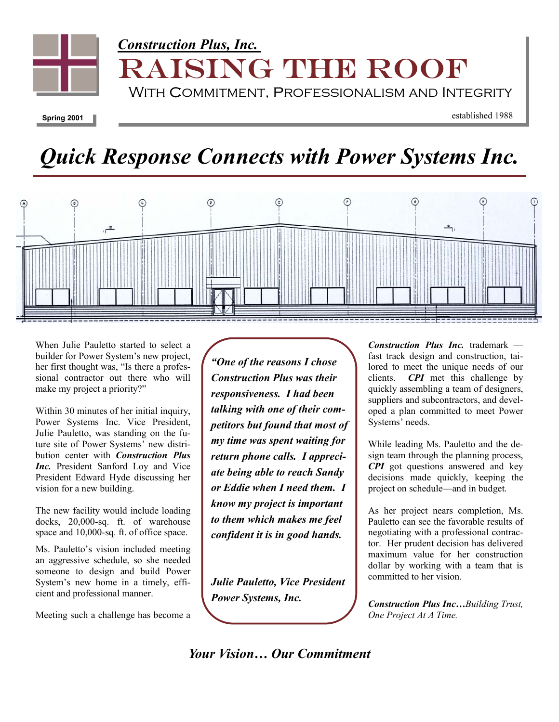

**Spring 2001** 

established 1988

# *Quick Response Connects with Power Systems Inc.*



When Julie Pauletto started to select a builder for Power System's new project, her first thought was, "Is there a professional contractor out there who will make my project a priority?"

Within 30 minutes of her initial inquiry, Power Systems Inc. Vice President, Julie Pauletto, was standing on the future site of Power Systems' new distribution center with *Construction Plus Inc.* President Sanford Loy and Vice President Edward Hyde discussing her vision for a new building.

The new facility would include loading docks, 20,000-sq. ft. of warehouse space and 10,000-sq. ft. of office space.

Ms. Pauletto's vision included meeting an aggressive schedule, so she needed someone to design and build Power System's new home in a timely, efficient and professional manner.

Meeting such a challenge has become a

*"One of the reasons I chose Construction Plus was their responsiveness. I had been talking with one of their competitors but found that most of my time was spent waiting for return phone calls. I appreciate being able to reach Sandy or Eddie when I need them. I know my project is important to them which makes me feel confident it is in good hands.* 

*Julie Pauletto, Vice President Power Systems, Inc.* 

*Construction Plus Inc.* trademark fast track design and construction, tailored to meet the unique needs of our clients. *CPI* met this challenge by quickly assembling a team of designers, suppliers and subcontractors, and developed a plan committed to meet Power Systems' needs.

While leading Ms. Pauletto and the design team through the planning process, *CPI* got questions answered and key decisions made quickly, keeping the project on schedule—and in budget.

As her project nears completion, Ms. Pauletto can see the favorable results of negotiating with a professional contractor. Her prudent decision has delivered maximum value for her construction dollar by working with a team that is committed to her vision.

*Construction Plus Inc…Building Trust, One Project At A Time.* 

*Your Vision… Our Commitment*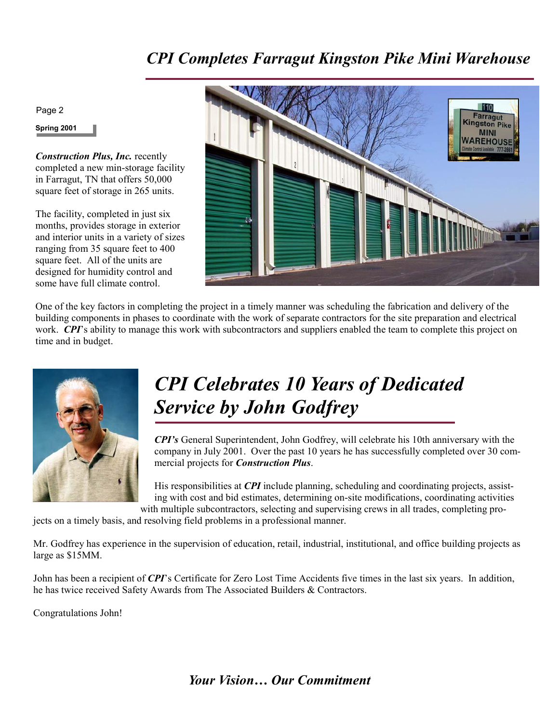### *CPI Completes Farragut Kingston Pike Mini Warehouse*

Page 2

**Spring 2001** 

*Construction Plus, Inc.* recently completed a new min-storage facility in Farragut, TN that offers 50,000 square feet of storage in 265 units.

The facility, completed in just six months, provides storage in exterior and interior units in a variety of sizes ranging from 35 square feet to 400 square feet. All of the units are designed for humidity control and some have full climate control.



One of the key factors in completing the project in a timely manner was scheduling the fabrication and delivery of the building components in phases to coordinate with the work of separate contractors for the site preparation and electrical work. *CPI*'s ability to manage this work with subcontractors and suppliers enabled the team to complete this project on time and in budget.



### *CPI Celebrates 10 Years of Dedicated Service by John Godfrey*

*CPI's* General Superintendent, John Godfrey, will celebrate his 10th anniversary with the company in July 2001. Over the past 10 years he has successfully completed over 30 commercial projects for *Construction Plus*.

His responsibilities at *CPI* include planning, scheduling and coordinating projects, assisting with cost and bid estimates, determining on-site modifications, coordinating activities with multiple subcontractors, selecting and supervising crews in all trades, completing pro-

jects on a timely basis, and resolving field problems in a professional manner.

Mr. Godfrey has experience in the supervision of education, retail, industrial, institutional, and office building projects as large as \$15MM.

John has been a recipient of *CPI*'s Certificate for Zero Lost Time Accidents five times in the last six years. In addition, he has twice received Safety Awards from The Associated Builders & Contractors.

Congratulations John!

*Your Vision… Our Commitment*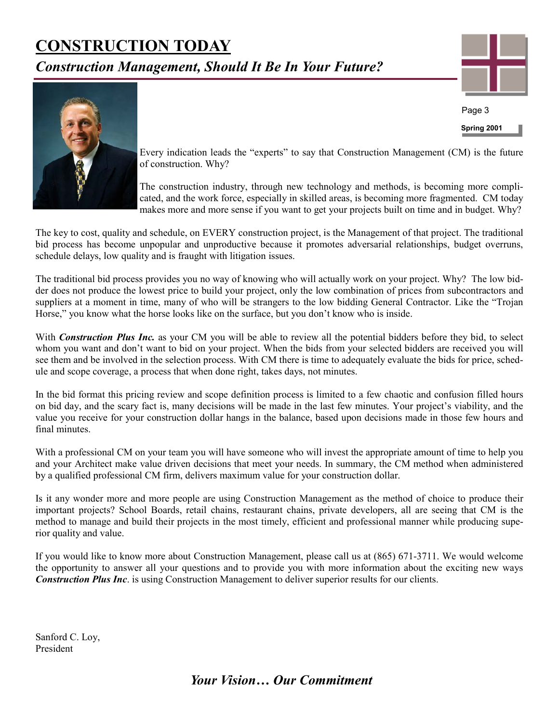### **CONSTRUCTION TODAY**

*Construction Management, Should It Be In Your Future?* 



**Spring 2001** 

Page 3



Every indication leads the "experts" to say that Construction Management (CM) is the future of construction. Why?

The construction industry, through new technology and methods, is becoming more complicated, and the work force, especially in skilled areas, is becoming more fragmented. CM today makes more and more sense if you want to get your projects built on time and in budget. Why?

The key to cost, quality and schedule, on EVERY construction project, is the Management of that project. The traditional bid process has become unpopular and unproductive because it promotes adversarial relationships, budget overruns, schedule delays, low quality and is fraught with litigation issues.

The traditional bid process provides you no way of knowing who will actually work on your project. Why? The low bidder does not produce the lowest price to build your project, only the low combination of prices from subcontractors and suppliers at a moment in time, many of who will be strangers to the low bidding General Contractor. Like the "Trojan Horse," you know what the horse looks like on the surface, but you don't know who is inside.

With *Construction Plus Inc.* as your CM you will be able to review all the potential bidders before they bid, to select whom you want and don't want to bid on your project. When the bids from your selected bidders are received you will see them and be involved in the selection process. With CM there is time to adequately evaluate the bids for price, schedule and scope coverage, a process that when done right, takes days, not minutes.

In the bid format this pricing review and scope definition process is limited to a few chaotic and confusion filled hours on bid day, and the scary fact is, many decisions will be made in the last few minutes. Your project's viability, and the value you receive for your construction dollar hangs in the balance, based upon decisions made in those few hours and final minutes.

With a professional CM on your team you will have someone who will invest the appropriate amount of time to help you and your Architect make value driven decisions that meet your needs. In summary, the CM method when administered by a qualified professional CM firm, delivers maximum value for your construction dollar.

Is it any wonder more and more people are using Construction Management as the method of choice to produce their important projects? School Boards, retail chains, restaurant chains, private developers, all are seeing that CM is the method to manage and build their projects in the most timely, efficient and professional manner while producing superior quality and value.

If you would like to know more about Construction Management, please call us at (865) 671-3711. We would welcome the opportunity to answer all your questions and to provide you with more information about the exciting new ways *Construction Plus Inc*. is using Construction Management to deliver superior results for our clients.

Sanford C. Loy, President